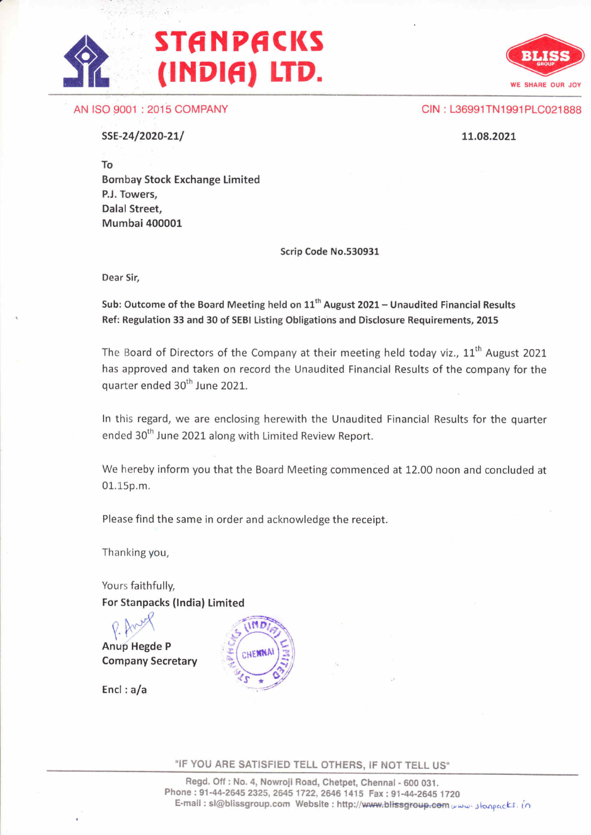# **STANPACKS** (INDIA) LTD.



AN ISO 9001 :2015 COMPANY

CIN: L36991TN1991 PLC021888

SSE-24/2020-21/

1.1.09.2021.

To Bombay Stock Exchange Limited P.J. Towers, Dalal Street, Mumbai 400001

Scrip Code No.530931

Dear Sir,

Sub: Outcome of the Board Meeting held on  $11<sup>th</sup>$  August 2021 - Unaudited Financial Results Ref: Regulation 33 and 30 of SEBI Listing Obligations and Disclosure Requirements, 2015

The Board of Directors of the Company at their meeting held today viz.,  $11<sup>th</sup>$  August 2021 has approved and taken on record the Unaudited Financial Results of the company for the quarter ended 30<sup>th</sup> June 2021.

ln this regard, we are enclosing herewith the Unaudited Financial Results for the quarter ended 30<sup>th</sup> June 2021 along with Limited Review Report.

We hereby inform you that the Board Meeting commenced at 12.00 noon and concluded at 01.15p.m.

Please find the same in order and acknowledge the receipt.

Thanking you,

Yours faithfully, For Stanpacks (lndia) Limited

P. Anus<br>Anup Hegde P Company Secretary

Encl : a/a



"IF YOU ARE SATISFIED TELL OTHERS, IF NOT TELL US"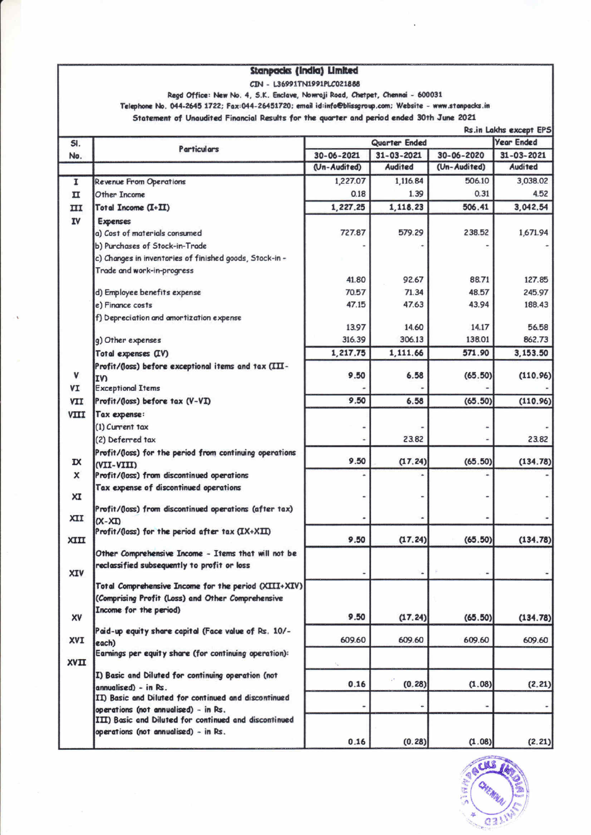| Stanpacks (India) Limited                                                                               |                                                                              |               |                  |              |                   |
|---------------------------------------------------------------------------------------------------------|------------------------------------------------------------------------------|---------------|------------------|--------------|-------------------|
| CIN - L36991TN1991PLC021888                                                                             |                                                                              |               |                  |              |                   |
| Read Office: New No. 4, S.K. Enclave, Nowraji Road, Chetpet, Chennai - 600031                           |                                                                              |               |                  |              |                   |
| Telephone No. 044-2645 1722; Fax:044-26451720; email id:info@blissgroup.com; Website - www.stanpacks.in |                                                                              |               |                  |              |                   |
| Statement of Unaudited Financial Results for the quarter and period ended 30th June 2021                |                                                                              |               |                  |              |                   |
| Rs.in Lakhs except EPS                                                                                  |                                                                              |               |                  |              |                   |
| SI.                                                                                                     | <b>Particulars</b>                                                           | Quarter Ended |                  |              | <b>Year Ended</b> |
| No.                                                                                                     |                                                                              | 30-06-2021    | $31 - 03 - 2021$ | 30-06-2020   | 31-03-2021        |
|                                                                                                         |                                                                              | (Un-Audited)  | <b>Audited</b>   | (Un-Audited) | Audited           |
| I                                                                                                       | Revenue From Operations                                                      | 1,227.07      | 1,116.84         | 506.10       | 3,038.02          |
| п                                                                                                       | Other Income                                                                 | 0.18          | 1.39             | 0.31         | 4.52              |
| ПI                                                                                                      | Total Income (I+II)                                                          | 1,227.25      | 1,118.23         | 506.41       | 3,042.54          |
| IV                                                                                                      | <b>Expenses</b>                                                              |               |                  |              |                   |
|                                                                                                         | a) Cost of materials consumed                                                | 727.87        | 579.29           | 238.52       | 1,671.94          |
|                                                                                                         | b) Purchases of Stock-in-Trade                                               |               |                  |              |                   |
|                                                                                                         | c) Changes in inventories of finished goods, Stock-in -                      |               |                  |              |                   |
|                                                                                                         | Trade and work-in-progress                                                   |               |                  |              |                   |
|                                                                                                         |                                                                              | 41.80         | 92.67            | 88.71        | 127.85            |
|                                                                                                         | d) Employee benefits expense                                                 | 70.57         | 71.34            | 48.57        | 245.97            |
|                                                                                                         | e) Finance costs                                                             | 47.15         | 47.63            | 43.94        | 188.43            |
|                                                                                                         | f) Depreciation and amortization expense                                     | 13.97         | 14.60            | 14.17        | 56.58             |
|                                                                                                         | g) Other expenses                                                            | 316.39        | 306.13           | 138.01       | 862.73            |
|                                                                                                         | Total expenses (IV)                                                          | 1,217.75      | 1,111.66         | 571.90       | 3,153.50          |
|                                                                                                         | Profit/(loss) before exceptional items and tax (III-                         |               |                  |              |                   |
| ٧                                                                                                       | I٧                                                                           | 9.50          | 6.58             | (65.50)      | (110.96)          |
| VI                                                                                                      | <b>Exceptional Items</b>                                                     |               |                  |              |                   |
| VII                                                                                                     | Profit/(loss) before tax (V-VI)                                              | 9.50          | 6.58             | (65.50)      | (110.96)          |
| VIII                                                                                                    | Tax expense:                                                                 |               |                  |              |                   |
|                                                                                                         | (1) Current tax                                                              |               |                  |              |                   |
|                                                                                                         | (2) Deferred tax                                                             |               | 23.82            |              | 23.82             |
|                                                                                                         | Profit/(loss) for the period from continuing operations                      |               |                  |              |                   |
| $\mathbf{x}$                                                                                            | (VII-VIII)                                                                   | 9.50          | (17.24)          | (65.50)      | (134.78)          |
| x                                                                                                       | Profit/(loss) from discontinued operations                                   |               |                  |              |                   |
|                                                                                                         | Tax expense of discontinued operations                                       |               |                  |              |                   |
| XI                                                                                                      |                                                                              |               |                  |              |                   |
| XII                                                                                                     | Profit/(loss) from discontinued operations (after tax)                       |               |                  |              |                   |
|                                                                                                         | $(X-XI)$<br>Profit/(loss) for the period after tax (IX+XII)                  |               |                  |              |                   |
| XIII                                                                                                    |                                                                              | 9.50          | (17.24)          | (65.50)      | (134.78)          |
|                                                                                                         | Other Comprehensive Income - Items that will not be                          |               |                  |              |                   |
|                                                                                                         | reclassified subsequently to profit or loss                                  |               |                  |              |                   |
| XIV                                                                                                     |                                                                              |               |                  |              |                   |
|                                                                                                         | Total Comprehensive Income for the period (XIII+XIV)                         |               |                  |              |                   |
|                                                                                                         | (Comprising Profit (Loss) and Other Comprehensive                            |               |                  |              |                   |
| XV                                                                                                      | Income for the period)                                                       | 9.50          | (17.24)          | (65.50)      | (134.78)          |
|                                                                                                         | Paid-up equity share capital (Face value of Rs. 10/-                         |               |                  |              |                   |
| XVI                                                                                                     | each)                                                                        | 609.60        | 609.60           | 609.60       | 609.60            |
|                                                                                                         | Earnings per equity share (for continuing operation):                        |               |                  |              |                   |
| <b>XVII</b>                                                                                             |                                                                              |               |                  |              |                   |
|                                                                                                         | I) Basic and Diluted for continuing operation (not                           | 0.16          | (0.28)           | (1.08)       | (2.21)            |
|                                                                                                         | annualised) - in Rs.<br>II) Basic and Diluted for continued and discontinued |               |                  |              |                   |
|                                                                                                         | operations (not annualised) - in Rs.                                         |               |                  | ٠            |                   |
|                                                                                                         | III) Basic and Diluted for continued and discontinued                        |               |                  |              |                   |
|                                                                                                         | operations (not annualised) - in Rs.                                         |               |                  |              |                   |
|                                                                                                         |                                                                              | 0.16          | (0.28)           | (1.08)       | (2.21)            |

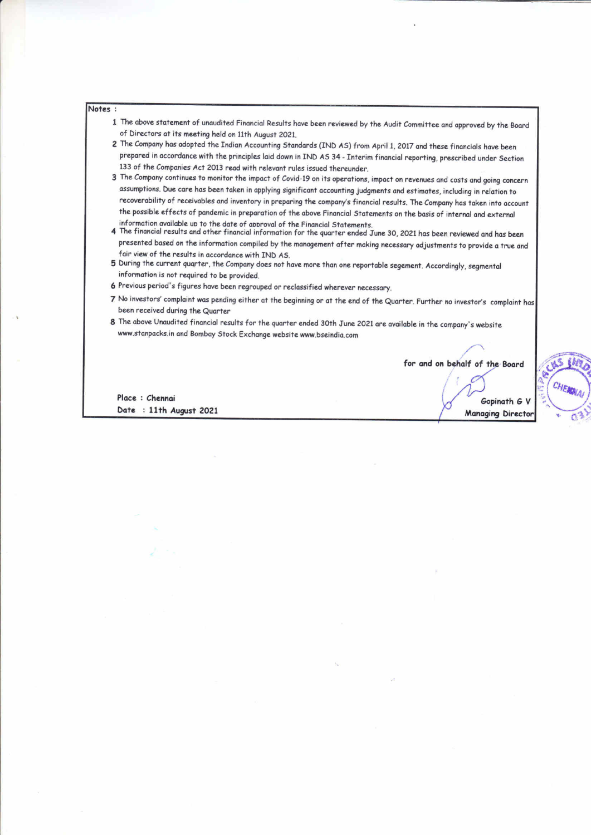#### Notes :

- 1 The above statement of unaudited Financial Results have been reviewed by the Audit Committee and approved by the Board of Directors at its meeting held on 11th August 2021.
- 2 The Company has adopted the Indian Accounting Standards (IND AS) from April 1, 2017 and these financials have been prepared in occordonce with the principles loid down in fND AS 34 - Interim finonciol reporting, prescribed under Section 133 of the Companies Act 2013 read with relevant rules issued thereunder.
- 3 The Company continues to monitor the impact of Covid-19 on its operations, impact on revenues and costs and going concern assumptions. Due care has been taken in applying significant accounting judgments and estimates, including in relation to recoverability of receivables and inventory in preparing the company's financial results. The Company has taken into account the possible effects of pandemic in preparation of the above Financial Statements on the basis of internal and external information available up to the date of approval of the Financial Statements.
- 4 The financial results and other financial information for the quarter ended June 30, 2021 has been reviewed and has been presented based on the information compiled by the management after making necessary adjustments to provide a true and fair view of the results in accordance with IND AS.
- 5 During the current quarter, the Company does not have more than one reportable segement. Accordingly, segmental informotion is not reguired to be provided.
- 6 Previous period's figures have been regrouped or reclassified wherever necessary.
- 7 No investors' complaint was pending either at the beginning or at the end of the Quarter. Further no investor's complaint has been received during the Quarter
- 8 The above Unaudited financial results for the quarter ended 30th June 2021 are available in the company's website www.stanpacks.in and Bombay Stock Exchange website www.bseindia.com

,'u for and on behalf of the Board

u

Place : Chennai Date : 11th August 2021

Gopinoth 6 V **Managing Director**